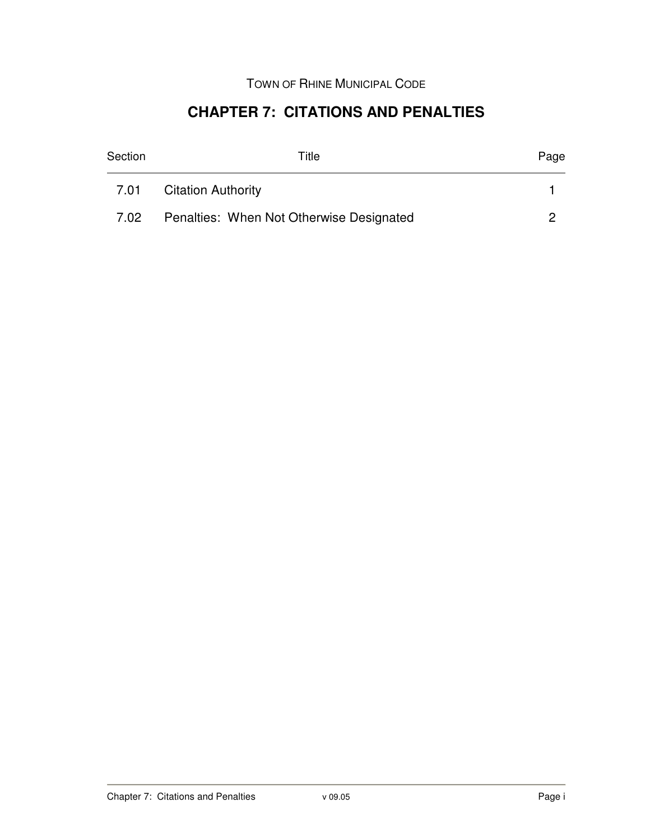TOWN OF RHINE MUNICIPAL CODE

## **CHAPTER 7: CITATIONS AND PENALTIES**

| Section | Title                                    | Page |
|---------|------------------------------------------|------|
| 7.01    | <b>Citation Authority</b>                |      |
| 7.02    | Penalties: When Not Otherwise Designated |      |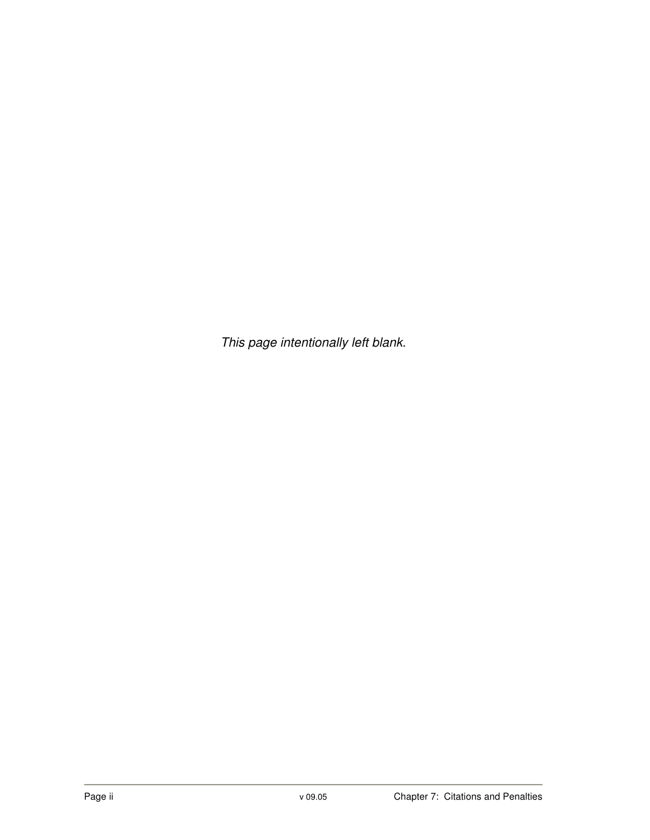This page intentionally left blank.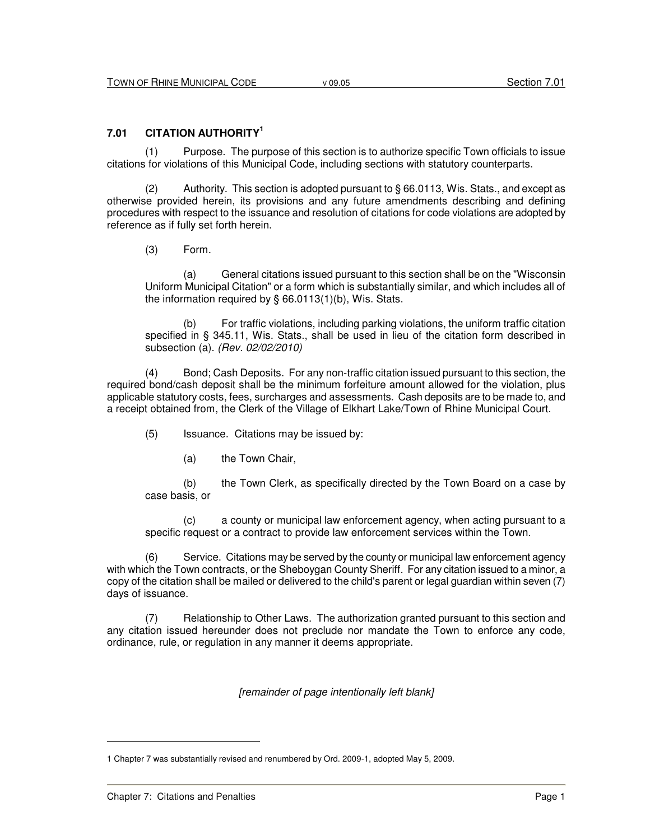## **7.01 CITATION AUTHORITY<sup>1</sup>**

(1) Purpose. The purpose of this section is to authorize specific Town officials to issue citations for violations of this Municipal Code, including sections with statutory counterparts.

(2) Authority. This section is adopted pursuant to  $\S$  66.0113, Wis. Stats., and except as otherwise provided herein, its provisions and any future amendments describing and defining procedures with respect to the issuance and resolution of citations for code violations are adopted by reference as if fully set forth herein.

(3) Form.

(a) General citations issued pursuant to this section shall be on the "Wisconsin Uniform Municipal Citation" or a form which is substantially similar, and which includes all of the information required by § 66.0113(1)(b), Wis. Stats.

(b) For traffic violations, including parking violations, the uniform traffic citation specified in § 345.11, Wis. Stats., shall be used in lieu of the citation form described in subsection (a). (Rev. 02/02/2010)

(4) Bond; Cash Deposits. For any non-traffic citation issued pursuant to this section, the required bond/cash deposit shall be the minimum forfeiture amount allowed for the violation, plus applicable statutory costs, fees, surcharges and assessments. Cash deposits are to be made to, and a receipt obtained from, the Clerk of the Village of Elkhart Lake/Town of Rhine Municipal Court.

(5) Issuance. Citations may be issued by:

(a) the Town Chair,

(b) the Town Clerk, as specifically directed by the Town Board on a case by case basis, or

(c) a county or municipal law enforcement agency, when acting pursuant to a specific request or a contract to provide law enforcement services within the Town.

Service. Citations may be served by the county or municipal law enforcement agency with which the Town contracts, or the Sheboygan County Sheriff. For any citation issued to a minor, a copy of the citation shall be mailed or delivered to the child's parent or legal guardian within seven (7) days of issuance.

(7) Relationship to Other Laws. The authorization granted pursuant to this section and any citation issued hereunder does not preclude nor mandate the Town to enforce any code, ordinance, rule, or regulation in any manner it deems appropriate.

[remainder of page intentionally left blank]

l.

<sup>1</sup> Chapter 7 was substantially revised and renumbered by Ord. 2009-1, adopted May 5, 2009.